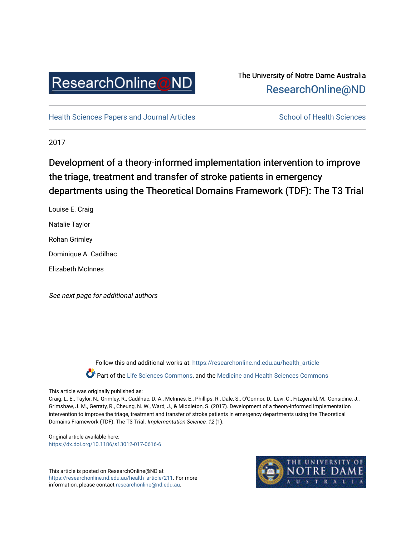

# The University of Notre Dame Australia [ResearchOnline@ND](https://researchonline.nd.edu.au/)

[Health Sciences Papers and Journal Articles](https://researchonline.nd.edu.au/health_article) School of Health Sciences

2017

# Development of a theory-informed implementation intervention to improve the triage, treatment and transfer of stroke patients in emergency departments using the Theoretical Domains Framework (TDF): The T3 Trial

Louise E. Craig Natalie Taylor Rohan Grimley Dominique A. Cadilhac Elizabeth McInnes

See next page for additional authors

Follow this and additional works at: [https://researchonline.nd.edu.au/health\\_article](https://researchonline.nd.edu.au/health_article?utm_source=researchonline.nd.edu.au%2Fhealth_article%2F211&utm_medium=PDF&utm_campaign=PDFCoverPages) Part of the [Life Sciences Commons](http://network.bepress.com/hgg/discipline/1016?utm_source=researchonline.nd.edu.au%2Fhealth_article%2F211&utm_medium=PDF&utm_campaign=PDFCoverPages), and the [Medicine and Health Sciences Commons](http://network.bepress.com/hgg/discipline/648?utm_source=researchonline.nd.edu.au%2Fhealth_article%2F211&utm_medium=PDF&utm_campaign=PDFCoverPages) 

This article was originally published as:

Craig, L. E., Taylor, N., Grimley, R., Cadilhac, D. A., McInnes, E., Phillips, R., Dale, S., O'Connor, D., Levi, C., Fitzgerald, M., Considine, J., Grimshaw, J. M., Gerraty, R., Cheung, N. W., Ward, J., & Middleton, S. (2017). Development of a theory-informed implementation intervention to improve the triage, treatment and transfer of stroke patients in emergency departments using the Theoretical Domains Framework (TDF): The T3 Trial. Implementation Science, 12 (1).

Original article available here: <https://dx.doi.org/10.1186/s13012-017-0616-6>

This article is posted on ResearchOnline@ND at [https://researchonline.nd.edu.au/health\\_article/211](https://researchonline.nd.edu.au/health_article/211). For more information, please contact [researchonline@nd.edu.au.](mailto:researchonline@nd.edu.au)

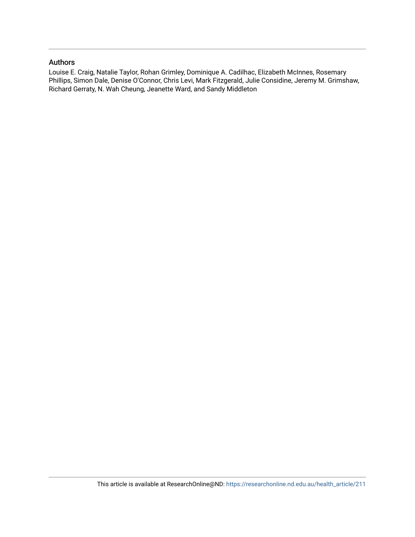# Authors

Louise E. Craig, Natalie Taylor, Rohan Grimley, Dominique A. Cadilhac, Elizabeth McInnes, Rosemary Phillips, Simon Dale, Denise O'Connor, Chris Levi, Mark Fitzgerald, Julie Considine, Jeremy M. Grimshaw, Richard Gerraty, N. Wah Cheung, Jeanette Ward, and Sandy Middleton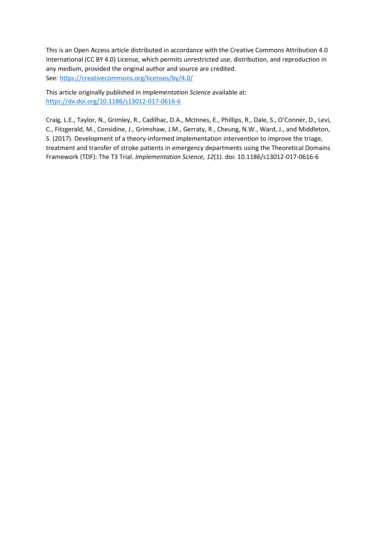This is an Open Access article distributed in accordance with the Creative Commons Attribution 4.0 International (CC BY 4.0) License, which permits unrestricted use, distribution, and reproduction in any medium, provided the original author and source are credited. See[: https://creativecommons.org/licenses/by/4.0/](https://creativecommons.org/licenses/by/4.0/)

This article originally published in *Implementation Science* available at: <https://dx.doi.org/10.1186/s13012-017-0616-6>

Craig, L.E., Taylor, N., Grimley, R., Cadilhac, D.A., McInnes, E., Phillips, R., Dale, S., O'Conner, D., Levi, C., Fitzgerald, M., Considine, J., Grimshaw, J.M., Gerraty, R., Cheung, N.W., Ward, J., and Middleton, S. (2017). Development of a theory-informed implementation intervention to improve the triage, treatment and transfer of stroke patients in emergency departments using the Theoretical Domains Framework (TDF): The T3 Trial. *Implementation Science, 12*(1). doi: 10.1186/s13012-017-0616-6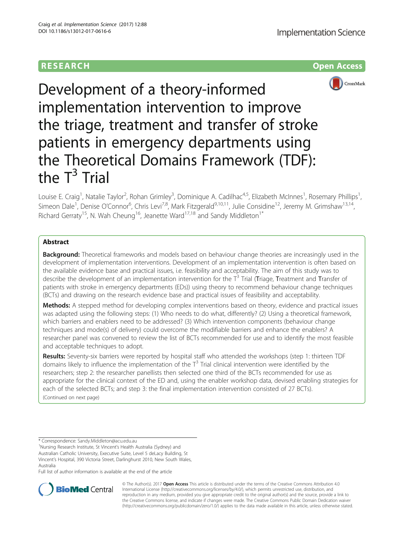# **RESEARCH CHILD CONTROL** CONTROL CONTROL CONTROL CONTROL CONTROL CONTROL CONTROL CONTROL CONTROL CONTROL CONTROL CONTROL CONTROL CONTROL CONTROL CONTROL CONTROL CONTROL CONTROL CONTROL CONTROL CONTROL CONTROL CONTROL CONTR



Development of a theory-informed implementation intervention to improve the triage, treatment and transfer of stroke patients in emergency departments using the Theoretical Domains Framework (TDF): the  $T^3$  Trial

Louise E. Craig<sup>1</sup>, Natalie Taylor<sup>2</sup>, Rohan Grimley<sup>3</sup>, Dominique A. Cadilhac<sup>4,5</sup>, Elizabeth McInnes<sup>1</sup>, Rosemary Phillips<sup>1</sup> , Simeon Dale<sup>1</sup>, Denise O'Connor<sup>6</sup>, Chris Levi<sup>7,8</sup>, Mark Fitzgerald<sup>9,10,11</sup>, Julie Considine<sup>12</sup>, Jeremy M. Grimshaw<sup>13,14</sup>, Richard Gerraty<sup>15</sup>, N. Wah Cheung<sup>16</sup>, Jeanette Ward<sup>17,18</sup> and Sandy Middleton<sup>1\*</sup>

# Abstract

**Background:** Theoretical frameworks and models based on behaviour change theories are increasingly used in the development of implementation interventions. Development of an implementation intervention is often based on the available evidence base and practical issues, i.e. feasibility and acceptability. The aim of this study was to describe the development of an implementation intervention for the  $T<sup>3</sup>$  Trial (Triage, Treatment and Transfer of patients with stroke in emergency departments (EDs)) using theory to recommend behaviour change techniques (BCTs) and drawing on the research evidence base and practical issues of feasibility and acceptability.

Methods: A stepped method for developing complex interventions based on theory, evidence and practical issues was adapted using the following steps: (1) Who needs to do what, differently? (2) Using a theoretical framework, which barriers and enablers need to be addressed? (3) Which intervention components (behaviour change techniques and mode(s) of delivery) could overcome the modifiable barriers and enhance the enablers? A researcher panel was convened to review the list of BCTs recommended for use and to identify the most feasible and acceptable techniques to adopt.

Results: Seventy-six barriers were reported by hospital staff who attended the workshops (step 1: thirteen TDF domains likely to influence the implementation of the  $T<sup>3</sup>$  Trial clinical intervention were identified by the researchers; step 2: the researcher panellists then selected one third of the BCTs recommended for use as appropriate for the clinical context of the ED and, using the enabler workshop data, devised enabling strategies for each of the selected BCTs; and step 3: the final implementation intervention consisted of 27 BCTs). (Continued on next page)

<sup>1</sup>Nursing Research Institute, St Vincent's Health Australia (Sydney) and

Australian Catholic University, Executive Suite, Level 5 deLacy Building, St

Vincent's Hospital, 390 Victoria Street, Darlinghurst 2010, New South Wales, Australia

Full list of author information is available at the end of the article



© The Author(s). 2017 **Open Access** This article is distributed under the terms of the Creative Commons Attribution 4.0 International License [\(http://creativecommons.org/licenses/by/4.0/](http://creativecommons.org/licenses/by/4.0/)), which permits unrestricted use, distribution, and reproduction in any medium, provided you give appropriate credit to the original author(s) and the source, provide a link to the Creative Commons license, and indicate if changes were made. The Creative Commons Public Domain Dedication waiver [\(http://creativecommons.org/publicdomain/zero/1.0/](http://creativecommons.org/publicdomain/zero/1.0/)) applies to the data made available in this article, unless otherwise stated.

<sup>\*</sup> Correspondence: [Sandy.Middleton@acu.edu.au](mailto:Sandy.Middleton@acu.edu.au) <sup>1</sup>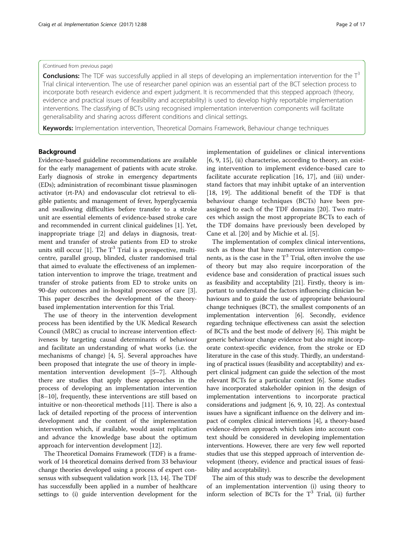## (Continued from previous page)

**Conclusions:** The TDF was successfully applied in all steps of developing an implementation intervention for the T<sup>3</sup> Trial clinical intervention. The use of researcher panel opinion was an essential part of the BCT selection process to incorporate both research evidence and expert judgment. It is recommended that this stepped approach (theory, evidence and practical issues of feasibility and acceptability) is used to develop highly reportable implementation interventions. The classifying of BCTs using recognised implementation intervention components will facilitate generalisability and sharing across different conditions and clinical settings.

Keywords: Implementation intervention, Theoretical Domains Framework, Behaviour change techniques

# Background

Evidence-based guideline recommendations are available for the early management of patients with acute stroke. Early diagnosis of stroke in emergency departments (EDs); administration of recombinant tissue plasminogen activator (rt-PA) and endovascular clot retrieval to eligible patients; and management of fever, hyperglycaemia and swallowing difficulties before transfer to a stroke unit are essential elements of evidence-based stroke care and recommended in current clinical guidelines [\[1\]](#page-18-0). Yet, inappropriate triage [[2\]](#page-18-0) and delays in diagnosis, treatment and transfer of stroke patients from ED to stroke units still occur [\[1](#page-18-0)]. The  $T^3$  Trial is a prospective, multicentre, parallel group, blinded, cluster randomised trial that aimed to evaluate the effectiveness of an implementation intervention to improve the triage, treatment and transfer of stroke patients from ED to stroke units on 90-day outcomes and in-hospital processes of care [\[3](#page-18-0)]. This paper describes the development of the theorybased implementation intervention for this Trial.

The use of theory in the intervention development process has been identified by the UK Medical Research Council (MRC) as crucial to increase intervention effectiveness by targeting causal determinants of behaviour and facilitate an understanding of what works (i.e. the mechanisms of change) [[4, 5](#page-18-0)]. Several approaches have been proposed that integrate the use of theory in implementation intervention development [\[5](#page-18-0)–[7](#page-18-0)]. Although there are studies that apply these approaches in the process of developing an implementation intervention [[8](#page-18-0)–[10\]](#page-18-0), frequently, these interventions are still based on intuitive or non-theoretical methods [\[11](#page-18-0)]. There is also a lack of detailed reporting of the process of intervention development and the content of the implementation intervention which, if available, would assist replication and advance the knowledge base about the optimum approach for intervention development [[12\]](#page-18-0).

The Theoretical Domains Framework (TDF) is a framework of 14 theoretical domains derived from 33 behaviour change theories developed using a process of expert consensus with subsequent validation work [[13](#page-18-0), [14\]](#page-18-0). The TDF has successfully been applied in a number of healthcare settings to (i) guide intervention development for the implementation of guidelines or clinical interventions [[6, 9](#page-18-0), [15](#page-18-0)], (ii) characterise, according to theory, an existing intervention to implement evidence-based care to facilitate accurate replication [[16, 17](#page-18-0)], and (iii) understand factors that may inhibit uptake of an intervention [[18, 19](#page-18-0)]. The additional benefit of the TDF is that behaviour change techniques (BCTs) have been preassigned to each of the TDF domains [[20\]](#page-19-0). Two matrices which assign the most appropriate BCTs to each of the TDF domains have previously been developed by Cane et al. [\[20](#page-19-0)] and by Michie et al. [\[5](#page-18-0)].

The implementation of complex clinical interventions, such as those that have numerous intervention components, as is the case in the  $T<sup>3</sup>$  Trial, often involve the use of theory but may also require incorporation of the evidence base and consideration of practical issues such as feasibility and acceptability [\[21](#page-19-0)]. Firstly, theory is important to understand the factors influencing clinician behaviours and to guide the use of appropriate behavioural change techniques (BCT), the smallest components of an implementation intervention [\[6](#page-18-0)]. Secondly, evidence regarding technique effectiveness can assist the selection of BCTs and the best mode of delivery [\[6](#page-18-0)]. This might be generic behaviour change evidence but also might incorporate context-specific evidence, from the stroke or ED literature in the case of this study. Thirdly, an understanding of practical issues (feasibility and acceptability) and expert clinical judgment can guide the selection of the most relevant BCTs for a particular context [\[6](#page-18-0)]. Some studies have incorporated stakeholder opinion in the design of implementation interventions to incorporate practical considerations and judgment [[6, 9, 10,](#page-18-0) [22\]](#page-19-0). As contextual issues have a significant influence on the delivery and impact of complex clinical interventions [\[4](#page-18-0)], a theory-based evidence-driven approach which takes into account context should be considered in developing implementation interventions. However, there are very few well reported studies that use this stepped approach of intervention development (theory, evidence and practical issues of feasibility and acceptability).

The aim of this study was to describe the development of an implementation intervention (i) using theory to inform selection of BCTs for the  $T^3$  Trial, (ii) further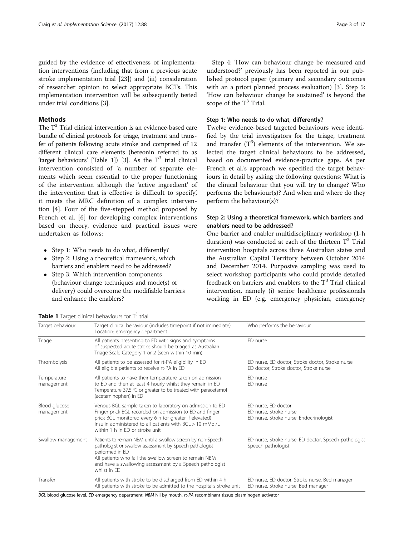<span id="page-5-0"></span>guided by the evidence of effectiveness of implementation interventions (including that from a previous acute stroke implementation trial [\[23\]](#page-19-0)) and (iii) consideration of researcher opinion to select appropriate BCTs. This implementation intervention will be subsequently tested under trial conditions [[3\]](#page-18-0).

# Methods

The  $T<sup>3</sup>$  Trial clinical intervention is an evidence-based care bundle of clinical protocols for triage, treatment and transfer of patients following acute stroke and comprised of 12 different clinical care elements (hereonin referred to as 'target behaviours' [Table 1]) [[3](#page-18-0)]. As the  $T^3$  trial clinical intervention consisted of 'a number of separate elements which seem essential to the proper functioning of the intervention although the 'active ingredient' of the intervention that is effective is difficult to specify', it meets the MRC definition of a complex intervention [[4\]](#page-18-0). Four of the five-stepped method proposed by French et al. [\[6](#page-18-0)] for developing complex interventions based on theory, evidence and practical issues were undertaken as follows:

- Step 1: Who needs to do what, differently?
- Step 2: Using a theoretical framework, which barriers and enablers need to be addressed?
- Step 3: Which intervention components (behaviour change techniques and mode(s) of delivery) could overcome the modifiable barriers and enhance the enablers?

|  |  |  | Table 1 Target clinical behaviours for T <sup>3</sup> trial |  |  |  |
|--|--|--|-------------------------------------------------------------|--|--|--|
|--|--|--|-------------------------------------------------------------|--|--|--|

Step 4: 'How can behaviour change be measured and understood?' previously has been reported in our published protocol paper (primary and secondary outcomes with an a priori planned process evaluation) [\[3](#page-18-0)]. Step 5: 'How can behaviour change be sustained' is beyond the scope of the  $T^3$  Trial.

## Step 1: Who needs to do what, differently?

Twelve evidence-based targeted behaviours were identified by the trial investigators for the triage, treatment and transfer  $(T^3)$  elements of the intervention. We selected the target clinical behaviours to be addressed, based on documented evidence-practice gaps. As per French et al.'s approach we specified the target behaviours in detail by asking the following questions: What is the clinical behaviour that you will try to change? Who performs the behaviour(s)? And when and where do they perform the behaviour(s)?

# Step 2: Using a theoretical framework, which barriers and enablers need to be addressed?

One barrier and enabler multidisciplinary workshop (1-h duration) was conducted at each of the thirteen  $T^3$  Trial intervention hospitals across three Australian states and the Australian Capital Territory between October 2014 and December 2014. Purposive sampling was used to select workshop participants who could provide detailed feedback on barriers and enablers to the  $T^3$  Trial clinical intervention, namely (i) senior healthcare professionals working in ED (e.g. emergency physician, emergency

| Target behaviour            | Target clinical behaviour (includes timepoint if not immediate)<br>Location: emergency department                                                                                                                                                                               | Who performs the behaviour                                                                 |
|-----------------------------|---------------------------------------------------------------------------------------------------------------------------------------------------------------------------------------------------------------------------------------------------------------------------------|--------------------------------------------------------------------------------------------|
| Triage                      | All patients presenting to ED with signs and symptoms<br>of suspected acute stroke should be triaged as Australian<br>Triage Scale Category 1 or 2 (seen within 10 min)                                                                                                         | ED nurse                                                                                   |
| Thrombolysis                | All patients to be assessed for rt-PA eligibility in ED<br>All eligible patients to receive rt-PA in ED                                                                                                                                                                         | ED nurse, ED doctor, Stroke doctor, Stroke nurse<br>ED doctor, Stroke doctor, Stroke nurse |
| Temperature<br>management   | All patients to have their temperature taken on admission<br>to ED and then at least 4 hourly whilst they remain in ED<br>Temperature 37.5 °C or greater to be treated with paracetamol<br>(acetaminophen) in ED                                                                | ED nurse<br>ED nurse                                                                       |
| Blood glucose<br>management | Venous BGL sample taken to laboratory on admission to ED<br>Finger prick BGL recorded on admission to ED and finger<br>prick BGL monitored every 6 h (or greater if elevated)<br>Insulin administered to all patients with BGL > 10 mMol/L<br>within 1 h in ED or stroke unit   | ED nurse, ED doctor<br>ED nurse, Stroke nurse<br>ED nurse, Stroke nurse, Endocrinologist   |
| Swallow management          | Patients to remain NBM until a swallow screen by non-Speech<br>pathologist or swallow assessment by Speech pathologist<br>performed in ED<br>All patients who fail the swallow screen to remain NBM<br>and have a swallowing assessment by a Speech pathologist<br>whilst in FD | ED nurse, Stroke nurse, ED doctor, Speech pathologist<br>Speech pathologist                |
| Transfer                    | All patients with stroke to be discharged from ED within 4 h<br>All patients with stroke to be admitted to the hospital's stroke unit                                                                                                                                           | ED nurse, ED doctor, Stroke nurse, Bed manager<br>ED nurse, Stroke nurse, Bed manager      |

BGL blood glucose level, ED emergency department, NBM Nil by mouth, rt-PA recombinant tissue plasminogen activator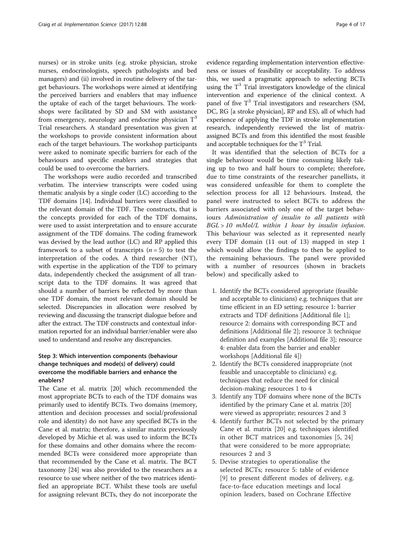nurses) or in stroke units (e.g. stroke physician, stroke nurses, endocrinologists, speech pathologists and bed managers) and (ii) involved in routine delivery of the target behaviours. The workshops were aimed at identifying the perceived barriers and enablers that may influence the uptake of each of the target behaviours. The workshops were facilitated by SD and SM with assistance from emergency, neurology and endocrine physician  $T<sup>3</sup>$ Trial researchers. A standard presentation was given at the workshops to provide consistent information about each of the target behaviours. The workshop participants were asked to nominate specific barriers for each of the behaviours and specific enablers and strategies that could be used to overcome the barriers.

The workshops were audio recorded and transcribed verbatim. The interview transcripts were coded using thematic analysis by a single coder (LC) according to the TDF domains [[14](#page-18-0)]. Individual barriers were classified to the relevant domain of the TDF. The constructs, that is the concepts provided for each of the TDF domains, were used to assist interpretation and to ensure accurate assignment of the TDF domains. The coding framework was devised by the lead author (LC) and RP applied this framework to a subset of transcripts  $(n = 5)$  to test the interpretation of the codes. A third researcher (NT), with expertise in the application of the TDF to primary data, independently checked the assignment of all transcript data to the TDF domains. It was agreed that should a number of barriers be reflected by more than one TDF domain, the most relevant domain should be selected. Discrepancies in allocation were resolved by reviewing and discussing the transcript dialogue before and after the extract. The TDF constructs and contextual information reported for an individual barrier/enabler were also used to understand and resolve any discrepancies.

# Step 3: Which intervention components (behaviour change techniques and mode(s) of delivery) could overcome the modifiable barriers and enhance the enablers?

The Cane et al. matrix [\[20\]](#page-19-0) which recommended the most appropriate BCTs to each of the TDF domains was primarily used to identify BCTs. Two domains (memory, attention and decision processes and social/professional role and identity) do not have any specified BCTs in the Cane et al. matrix; therefore, a similar matrix previously developed by Michie et al. was used to inform the BCTs for these domains and other domains where the recommended BCTs were considered more appropriate than that recommended by the Cane et al. matrix. The BCT taxonomy [[24\]](#page-19-0) was also provided to the researchers as a resource to use where neither of the two matrices identified an appropriate BCT. Whilst these tools are useful for assigning relevant BCTs, they do not incorporate the evidence regarding implementation intervention effectiveness or issues of feasibility or acceptability. To address this, we used a pragmatic approach to selecting BCTs using the  $T<sup>3</sup>$  Trial investigators knowledge of the clinical intervention and experience of the clinical context. A panel of five  $T^3$  Trial investigators and researchers (SM, DC, RG [a stroke physician], RP and ES), all of which had experience of applying the TDF in stroke implementation research, independently reviewed the list of matrixassigned BCTs and from this identified the most feasible and acceptable techniques for the  $T^3$  Trial.

It was identified that the selection of BCTs for a single behaviour would be time consuming likely taking up to two and half hours to complete; therefore, due to time constraints of the researcher panellists, it was considered unfeasible for them to complete the selection process for all 12 behaviours. Instead, the panel were instructed to select BCTs to address the barriers associated with only one of the target behaviours Administration of insulin to all patients with  $BGL > 10$  mMol/L within 1 hour by insulin infusion. This behaviour was selected as it represented nearly every TDF domain (11 out of 13) mapped in step 1 which would allow the findings to then be applied to the remaining behaviours. The panel were provided with a number of resources (shown in brackets below) and specifically asked to

- 1. Identify the BCTs considered appropriate (feasible and acceptable to clinicians) e.g. techniques that are time efficient in an ED setting; resource 1: barrier extracts and TDF definitions [Additional file [1\]](#page-17-0); resource 2: domains with corresponding BCT and definitions [Additional file [2](#page-17-0)]; resource 3: technique definition and examples [Additional file [3](#page-17-0)]; resource 4: enabler data from the barrier and enabler workshops [Additional file [4](#page-17-0)])
- 2. Identify the BCTs considered inappropriate (not feasible and unacceptable to clinicians) e.g. techniques that reduce the need for clinical decision-making; resources 1 to 4
- 3. Identify any TDF domains where none of the BCTs identified by the primary Cane et al. matrix [[20](#page-19-0)] were viewed as appropriate; resources 2 and 3
- 4. Identify further BCTs not selected by the primary Cane et al. matrix [[20\]](#page-19-0) e.g. techniques identified in other BCT matrices and taxonomies [[5,](#page-18-0) [24\]](#page-19-0) that were considered to be more appropriate; resources 2 and 3
- 5. Devise strategies to operationalise the selected BCTs; resource 5: table of evidence [[9\]](#page-18-0) to present different modes of delivery, e.g. face-to-face education meetings and local opinion leaders, based on Cochrane Effective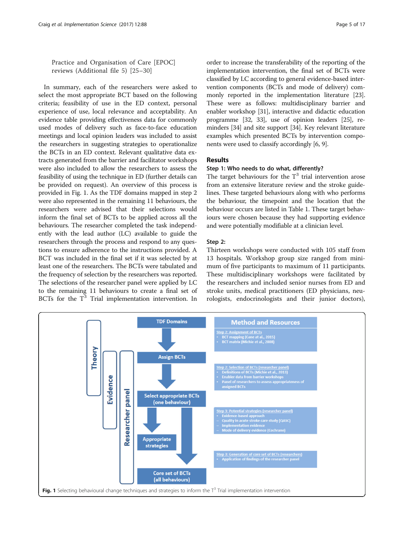Practice and Organisation of Care [EPOC] reviews (Additional file [5](#page-17-0)) [[25](#page-19-0)–[30](#page-19-0)]

In summary, each of the researchers were asked to select the most appropriate BCT based on the following criteria; feasibility of use in the ED context, personal experience of use, local relevance and acceptability. An evidence table providing effectiveness data for commonly used modes of delivery such as face-to-face education meetings and local opinion leaders was included to assist the researchers in suggesting strategies to operationalize the BCTs in an ED context. Relevant qualitative data extracts generated from the barrier and facilitator workshops were also included to allow the researchers to assess the feasibility of using the technique in ED (further details can be provided on request). An overview of this process is provided in Fig. 1. As the TDF domains mapped in step 2 were also represented in the remaining 11 behaviours, the researchers were advised that their selections would inform the final set of BCTs to be applied across all the behaviours. The researcher completed the task independently with the lead author (LC) available to guide the researchers through the process and respond to any questions to ensure adherence to the instructions provided. A BCT was included in the final set if it was selected by at least one of the researchers. The BCTs were tabulated and the frequency of selection by the researchers was reported. The selections of the researcher panel were applied by LC to the remaining 11 behaviours to create a final set of BCTs for the  $T^3$  Trial implementation intervention. In

order to increase the transferability of the reporting of the implementation intervention, the final set of BCTs were classified by LC according to general evidence-based intervention components (BCTs and mode of delivery) commonly reported in the implementation literature [[23](#page-19-0)]. These were as follows: multidisciplinary barrier and enabler workshop [\[31\]](#page-19-0), interactive and didactic education programme [[32](#page-19-0), [33](#page-19-0)], use of opinion leaders [\[25\]](#page-19-0), reminders [[34](#page-19-0)] and site support [\[34\]](#page-19-0). Key relevant literature examples which presented BCTs by intervention components were used to classify accordingly [[6, 9](#page-18-0)].

## Results

# Step 1: Who needs to do what, differently?

The target behaviours for the  $T<sup>3</sup>$  trial intervention arose from an extensive literature review and the stroke guidelines. These targeted behaviours along with who performs the behaviour, the timepoint and the location that the behaviour occurs are listed in Table [1.](#page-5-0) These target behaviours were chosen because they had supporting evidence and were potentially modifiable at a clinician level.

# Step 2:

Thirteen workshops were conducted with 105 staff from 13 hospitals. Workshop group size ranged from minimum of five participants to maximum of 11 participants. These multidisciplinary workshops were facilitated by the researchers and included senior nurses from ED and stroke units, medical practitioners (ED physicians, neurologists, endocrinologists and their junior doctors),

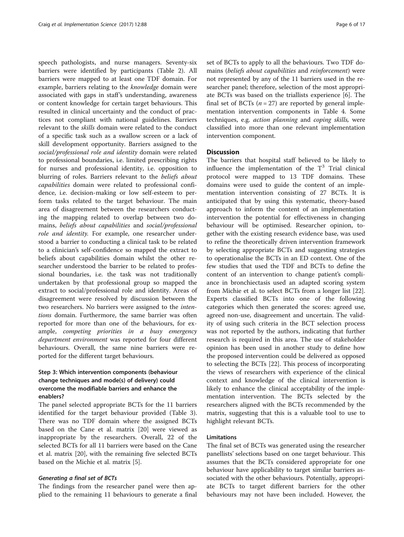speech pathologists, and nurse managers. Seventy-six barriers were identified by participants (Table [2](#page-9-0)). All barriers were mapped to at least one TDF domain. For example, barriers relating to the *knowledge* domain were associated with gaps in staff's understanding, awareness or content knowledge for certain target behaviours. This resulted in clinical uncertainty and the conduct of practices not compliant with national guidelines. Barriers relevant to the skills domain were related to the conduct of a specific task such as a swallow screen or a lack of skill development opportunity. Barriers assigned to the social/professional role and identity domain were related to professional boundaries, i.e. limited prescribing rights for nurses and professional identity, i.e. opposition to blurring of roles. Barriers relevant to the beliefs about capabilities domain were related to professional confidence, i.e. decision-making or low self-esteem to perform tasks related to the target behaviour. The main area of disagreement between the researchers conducting the mapping related to overlap between two domains, beliefs about capabilities and social/professional role and identity. For example, one researcher understood a barrier to conducting a clinical task to be related to a clinician's self-confidence so mapped the extract to beliefs about capabilities domain whilst the other researcher understood the barrier to be related to professional boundaries, i.e. the task was not traditionally undertaken by that professional group so mapped the extract to social/professional role and identity. Areas of disagreement were resolved by discussion between the two researchers. No barriers were assigned to the intentions domain. Furthermore, the same barrier was often reported for more than one of the behaviours, for example, competing priorities in a busy emergency department environment was reported for four different behaviours. Overall, the same nine barriers were reported for the different target behaviours.

# Step 3: Which intervention components (behaviour change techniques and mode(s) of delivery) could overcome the modifiable barriers and enhance the enablers?

The panel selected appropriate BCTs for the 11 barriers identified for the target behaviour provided (Table [3](#page-15-0)). There was no TDF domain where the assigned BCTs based on the Cane et al. matrix [[20](#page-19-0)] were viewed as inappropriate by the researchers. Overall, 22 of the selected BCTs for all 11 barriers were based on the Cane et al. matrix [[20](#page-19-0)], with the remaining five selected BCTs based on the Michie et al. matrix [[5\]](#page-18-0).

The findings from the researcher panel were then applied to the remaining 11 behaviours to generate a final set of BCTs to apply to all the behaviours. Two TDF domains (beliefs about capabilities and reinforcement) were not represented by any of the 11 barriers used in the researcher panel; therefore, selection of the most appropriate BCTs was based on the triallists experience [[6\]](#page-18-0). The final set of BCTs ( $n = 27$ ) are reported by general implementation intervention components in Table [4](#page-17-0). Some techniques, e.g. action planning and coping skills, were classified into more than one relevant implementation intervention component.

# **Discussion**

The barriers that hospital staff believed to be likely to influence the implementation of the  $T^3$  Trial clinical protocol were mapped to 13 TDF domains. These domains were used to guide the content of an implementation intervention consisting of 27 BCTs. It is anticipated that by using this systematic, theory-based approach to inform the content of an implementation intervention the potential for effectiveness in changing behaviour will be optimised. Researcher opinion, together with the existing research evidence base, was used to refine the theoretically driven intervention framework by selecting appropriate BCTs and suggesting strategies to operationalise the BCTs in an ED context. One of the few studies that used the TDF and BCTs to define the content of an intervention to change patient's compliance in bronchiectasis used an adapted scoring system from Michie et al. to select BCTs from a longer list [\[22](#page-19-0)]. Experts classified BCTs into one of the following categories which then generated the scores: agreed use, agreed non-use, disagreement and uncertain. The validity of using such criteria in the BCT selection process was not reported by the authors, indicating that further research is required in this area. The use of stakeholder opinion has been used in another study to define how the proposed intervention could be delivered as opposed to selecting the BCTs [\[22](#page-19-0)]. This process of incorporating the views of researchers with experience of the clinical context and knowledge of the clinical intervention is likely to enhance the clinical acceptability of the implementation intervention. The BCTs selected by the researchers aligned with the BCTs recommended by the matrix, suggesting that this is a valuable tool to use to highlight relevant BCTs.

#### Limitations

The final set of BCTs was generated using the researcher panellists' selections based on one target behaviour. This assumes that the BCTs considered appropriate for one behaviour have applicability to target similar barriers associated with the other behaviours. Potentially, appropriate BCTs to target different barriers for the other behaviours may not have been included. However, the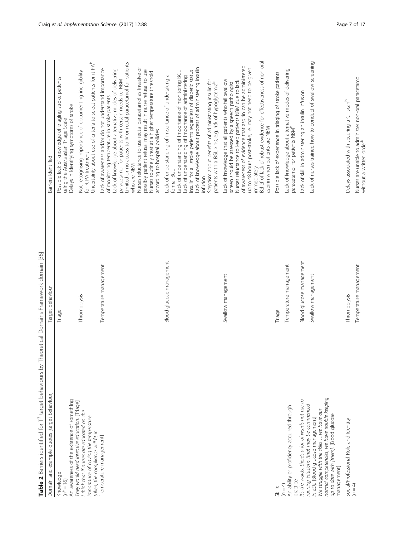Table 2 Barriers identified for T<sup>3</sup> target behaviours by Theoretical Domains Framework domain [[36](#page-19-0)]

<span id="page-9-0"></span>

| Domain and example quotes [target behaviour]                                                                                                                                                                                       | Target behaviour         | Barriers identified                                                                                                                                                                                                                                                                                                                                                                                                                                                                                                                 |
|------------------------------------------------------------------------------------------------------------------------------------------------------------------------------------------------------------------------------------|--------------------------|-------------------------------------------------------------------------------------------------------------------------------------------------------------------------------------------------------------------------------------------------------------------------------------------------------------------------------------------------------------------------------------------------------------------------------------------------------------------------------------------------------------------------------------|
| An awareness of the existence of something<br>Knowledge<br>$(n^4 = 16)$                                                                                                                                                            | Triage                   | Possible lack of knowledge of triaging stroke patients<br>Delays in identifying symptoms of stroke<br>using the Australasian Triage Scale                                                                                                                                                                                                                                                                                                                                                                                           |
| They would need intensive education. [Triage]<br>think that if nurses are educated on the<br>mportance of having the temperature<br>taken, the compliance will fit in.                                                             | Thrombolysis             | Uncertainty about use of criteria to select patients for rt-PA <sup>b</sup><br>Not recognising importance of documenting ineligibility<br>for rt-PA treatment                                                                                                                                                                                                                                                                                                                                                                       |
| Temperature management]                                                                                                                                                                                                            | Temperature management   | Limited or no access to IV or rectal paracetamol for patients<br>Nurses reluctance to use rectal paracetamol as invasive or<br>Lack of awareness and/or do not understand importance<br>Lack of knowledge about alternative modes of delivering<br>possibly patient refusal may result in nurse refusal to use<br>Nurses routinely treat at a higher temperature threshold<br>paracetamol for patients with certain needs i.e. NBM<br>of monitoring temperature in stroke patients<br>according to hospital policies<br>who are NBM |
|                                                                                                                                                                                                                                    | Blood glucose management | Lack of knowledge about process of administering insulin<br>insulin for all stroke patients regardless of diabetic status<br>Lack of understanding of importance of monitoring BGL<br>Lack of understanding of importance of undertaking a<br>Lack of understanding of importance of administering<br>Sceptism about benefits of administrating insulin for<br>patients with a BGL > 10, e.g. risk of hypoglycemia <sup>b</sup><br>formal BGL<br>infusion                                                                           |
|                                                                                                                                                                                                                                    | Swallow management       | Belief of lack of robust evidence for effectiveness of non-oral<br>of awareness of evidence that aspirin can be administered<br>up to 48 hours post-stroke, i.e. may not need to be given<br>Lack of knowledge that all patients who fail swallow<br>Nurses reluctance to keep patients NBM due to lack<br>screen should be assessed by a speech pathologist<br>aspirin when patients are NBM<br>immediately                                                                                                                        |
| <b>Skills</b>                                                                                                                                                                                                                      | Triage                   | Possible lack of experience in triaging of stroke patients                                                                                                                                                                                                                                                                                                                                                                                                                                                                          |
| An ability or proficiency acquired through<br>practice<br>$n = 4$                                                                                                                                                                  | Temperature management   | Lack of knowledge about alternative modes of delivering<br>paracetamol for patients NBM <sup>b</sup>                                                                                                                                                                                                                                                                                                                                                                                                                                |
| t's the wards, there's a lot of wards not use to                                                                                                                                                                                   | Blood glucose management | Lack of skill in administering an insulin infusion                                                                                                                                                                                                                                                                                                                                                                                                                                                                                  |
| normal competencies, we have trouble keeping<br>unning infusions [that may be commenced<br>We struggle with the skills  we have our<br>up to date with [them]. [Blood glucose<br>in EDJ. [Blood glucose management]<br>management] | Swallow management       | Lack of nurses trained how to conduct of swallow screening                                                                                                                                                                                                                                                                                                                                                                                                                                                                          |
| Social/Professional Role and Identity                                                                                                                                                                                              | Thrombolysis             | Delays associated with securing a CT scan <sup>b</sup>                                                                                                                                                                                                                                                                                                                                                                                                                                                                              |
| $(n = 4)$                                                                                                                                                                                                                          | Temperature management   | Nurses are unable to administer non-oral paracetamol<br>without a written order <sup>b</sup>                                                                                                                                                                                                                                                                                                                                                                                                                                        |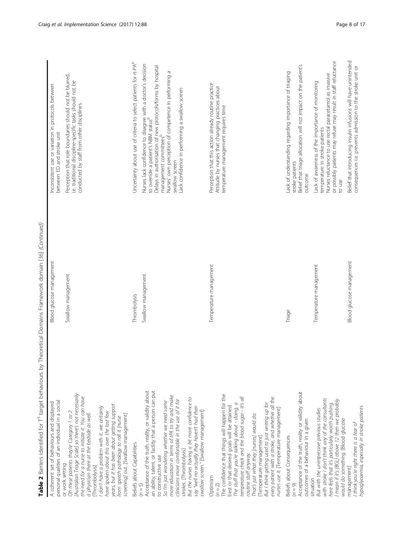| Table 2 Barriers identified for T <sup>3</sup> target behaviours by                                                                                                                                                                                                                                                                                                                                                                                                             | Theoretical Domains Framework domain [36] (Continued) |                                                                                                                                                                                                                                                                                                                                                |
|---------------------------------------------------------------------------------------------------------------------------------------------------------------------------------------------------------------------------------------------------------------------------------------------------------------------------------------------------------------------------------------------------------------------------------------------------------------------------------|-------------------------------------------------------|------------------------------------------------------------------------------------------------------------------------------------------------------------------------------------------------------------------------------------------------------------------------------------------------------------------------------------------------|
| personal qualities of an individual in a social<br>A coherent set of behaviours and displayed                                                                                                                                                                                                                                                                                                                                                                                   | Blood glucose management                              | Inconsistent use or variation in protocols between<br>between ED and stroke unit                                                                                                                                                                                                                                                               |
| [Australian Triage Scale] so there's not necessarily<br>the need for a nurse to initiate it. You can have<br>years, but it has been about getting support<br>I don't have a problem with it, we certainly<br>have spoken about this over the last few<br>Oh these patients they're Category 1 or 2<br>a physician there at the bedside as well.<br>screening] out. [Swallow management]<br>from speech pathology to roll it [nurse<br>or work setting<br>[Thrombolysis]         | Swallow management                                    | Perception that role boundaries should not be blurred,<br>i.e. traditional discipline-specific tasks should not be<br>conducted by staff from other disciplines.                                                                                                                                                                               |
| Beliefs about Capabilities                                                                                                                                                                                                                                                                                                                                                                                                                                                      | Thrombolysis                                          | Uncertainty about use of criteria to select patients for rt-PA <sup>b</sup>                                                                                                                                                                                                                                                                    |
| an ability, talent, or facility that a person can put<br>Acceptance of the truth, reality, or validity about<br>more education in terms of tPA to try and make<br>But the nurses having a bit more confidence to<br>clinicians more comfortable in the use of it for<br>So I'm just wondering whether we need some<br>say "well no actually they haven't had their<br>swallow screen." [Swallow management]<br>strokes. [Thrombolysis]<br>to constructive use<br>$(n=5)$        | Swallow management                                    | Nurses lack confidence to disagree with a doctor's decision<br>to override a patient's NBM status <sup>b</sup><br>Delays in authorisation of new protocols/forms by hospital<br>Nurses' own perception of competence in performing a<br>Lack confidence in performing a swallow screen<br>management committees <sup>b</sup><br>swallow screen |
| The confidence that things will happen for the<br>temperature check and the blood sugar - it's all<br>every patient with a stroke, and whether all the<br>The stuff that you're talking about - doing, a<br>But I think getting used to just writing up for<br>best or that desired goals will be attained<br>nurses use it. [Temperature management]<br>That's just what they [nurses] would do.<br>[Temperature management]<br>routine stuff anyway.<br>Optimism<br>$(n = 2)$ | Temperature management                                | Perception that this action already routine practice<br>Attitude by nurses that changing practices about<br>temperature management requires time                                                                                                                                                                                               |
| Acceptance of the truth, reality or validity about<br>outcomes of a behaviour in a given<br>Beliefs about Consequences<br>$(n=9)$                                                                                                                                                                                                                                                                                                                                               | Triage                                                | Belief that triage allocation will not impact on the patient's<br>Lack of understanding regarding importance of triaging<br>stroke patients<br>outcome                                                                                                                                                                                         |
| with stroke I don't think any of the consultants<br>I mean if it's [BGL] above 12 then we probably<br>here feels that it's particularly worth pushing.<br>But with the unimpressive previous studies<br>would do something. [Blood glucose<br>situation                                                                                                                                                                                                                         | Temperature management                                | or possibly patients may refuse may result in staff reluctance<br>Nurses reluctance to use rectal paracetamol as invasive<br>Lack of awareness of the importance of monitoring<br>temperature in stroke patients<br>to use                                                                                                                     |
| hypoglycaemia, especially in stroke patients<br>I think you're right there is a fear of<br>management                                                                                                                                                                                                                                                                                                                                                                           | Blood glucose management                              | Belief that introducing insulin infusions will have unintended<br>consequences i.e. prevents admission to the stroke unit or                                                                                                                                                                                                                   |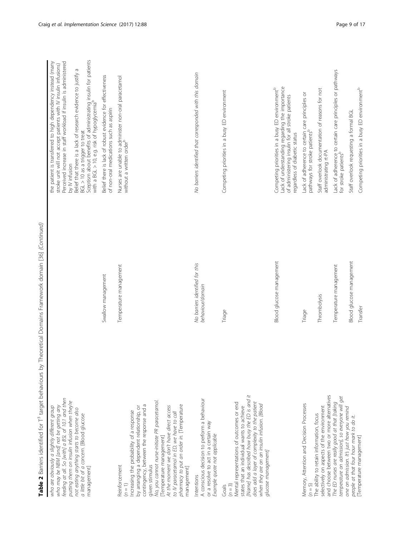| ٦<br>7<br>¢<br>١<br>Í          |
|--------------------------------|
|                                |
|                                |
|                                |
|                                |
| J                              |
|                                |
| ļ                              |
| I<br>i                         |
| l                              |
| 5                              |
|                                |
|                                |
| $\frac{1}{5}$                  |
|                                |
| t<br>ī                         |
| $\overline{\phantom{a}}$       |
| $\frac{2}{3}$<br>$\frac{1}{2}$ |
| i                              |
| i<br>I<br>١<br>I               |
| ĺ                              |
| j                              |
| j<br>l                         |
| l<br>ì                         |
| ľ                              |
|                                |
| $\overline{a}$<br>Į            |
| ١<br>Ś                         |
| į<br>֖֖֖֚֚֚֚֚֚֬                |
|                                |
|                                |
|                                |
|                                |
| j                              |
| j<br>5<br>$\mathbf{r}$<br>í    |
| į<br>ł                         |
| ١                              |
| I                              |
| $\overline{\phantom{a}}$       |
|                                |
| )<br>J                         |
| با<br>با<br>ļ                  |
| j<br>5<br>ā                    |
| ֚֚֚֚֡<br>֚                     |
| ì<br>ţ                         |
| ۱                              |
| Ì<br>j<br>Š<br>$\mathfrak{c}$  |
| t                              |
| ļ                              |
| able<br>I                      |

| Sceptism about benefits of administrating insulin for patients<br>with a BGL > 10, e.g. risk of hypoglycemia <sup>b</sup><br>the patient is transferred to high dependency instead (many<br>Perceived increase in staff workload if insulin is administered<br>stroke unit will not accept patients with IV insulin infusions)<br>Belief that there is a lack of research evidence to justify a<br>BGL > 10 as a trigger to treat<br>by IV infusion | Belief there is lack of robust evidence for effectiveness<br>of non-oral medications such as aspirin<br>Swallow management | Nurses are unable to administer non-oral paracetamol<br>without a written order <sup>b</sup><br>Temperature management                                                                                                                                                                                                                              | No barriers identified that corresponded with this domain<br>No barriers identified for this<br>behaviour/domain                                                                              | Competing priorities in a busy ED environment<br>Triage                                                                                                                                                                                                                                | Lack of understanding regarding the importance<br>Competing priorities in a busy ED environment <sup>b</sup><br>of administering insulin for all stroke patients<br>regardless of diabetic status<br>Blood glucose management | Lack of adherence to certain care principles or<br>pathways for stroke patients <sup>b</sup><br>Triage | Staff overlook documentation of reasons for not<br>administrating rt-PA<br>Thrombolysis                                              | Lack of adherence to certain care principles or pathways<br>for stroke patients <sup>b</sup><br>Temperature management | Staff overlook requesting a formal BGL<br>Blood glucose management                    |
|-----------------------------------------------------------------------------------------------------------------------------------------------------------------------------------------------------------------------------------------------------------------------------------------------------------------------------------------------------------------------------------------------------------------------------------------------------|----------------------------------------------------------------------------------------------------------------------------|-----------------------------------------------------------------------------------------------------------------------------------------------------------------------------------------------------------------------------------------------------------------------------------------------------------------------------------------------------|-----------------------------------------------------------------------------------------------------------------------------------------------------------------------------------------------|----------------------------------------------------------------------------------------------------------------------------------------------------------------------------------------------------------------------------------------------------------------------------------------|-------------------------------------------------------------------------------------------------------------------------------------------------------------------------------------------------------------------------------|--------------------------------------------------------------------------------------------------------|--------------------------------------------------------------------------------------------------------------------------------------|------------------------------------------------------------------------------------------------------------------------|---------------------------------------------------------------------------------------|
| feeding at all. So [with] a BSL of 10.1 and then<br>putting them on insulin infusion when they're<br>who may be NBM [and] not be getting any<br>who are obviously a slightly different group<br>not eating anything starts to become also<br>a little bit of a concern. [Blood glucose<br>management]                                                                                                                                               |                                                                                                                            | No, you cannot nurse-initiate PR paracetamol.<br>contingency, between the response and a<br>At the moment we don't have direct access<br>by arranging a dependent relationship, or<br>ncreasing the probability of a response<br>to IV paracetamol in ED, we have to call<br>[Temperature management]<br>given stimulus<br>Reinforcement<br>$(n=1)$ | A conscious decision to perform a behaviour<br>pharmacy to put an order in. [Temperature<br>or a resolve to act in a certain way<br>Example quote not applicable<br>management]<br>Intentions | Name] has described how busy the ED is and it<br>does add a layer of complexity to the patient<br>Mental representations of outcomes or end<br>when they are on an insulin infusion. [Blood<br>states that an individual wants to achieve<br>glucose management]<br>$(n = 3)$<br>Goals |                                                                                                                                                                                                                               | Memory, Attention and Decision Processes<br>$(n=5)$                                                    | and choose between two or more alternatives<br>selectively on aspects of the environment<br>The ability to retain information, focus | temperature on admission], so everyone will get<br>The ED nurses are really good at that [taking                       | one on admission. It's just how you remind<br>people at that four hour mark to do it. |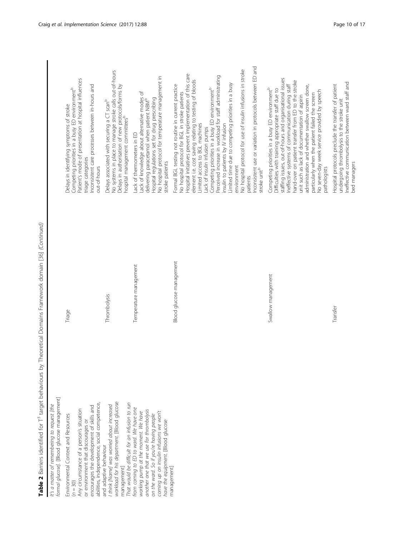| insulin to patients by IV infusion<br>environment<br>stroke unit <sup>b</sup><br>patients<br>Swallow management | stroke patients<br>Blood glucose management | delivering paracetamol when patient NBM <sup>b</sup><br>Lack of thermometers in ED<br>Temperature management | Delays associated with securing a CT scan <sup>b</sup><br>Thrombolysis | triage categories<br>out-of-hours | Delays in identifying symptoms of stroke<br>Triage | Inconsistent use or variation in protocols between ED and<br>No hospital protocol for use of insulin infusions in stroke<br>No systems in place to manage stroke calls out-of-hours<br>Hospital initiatives prevent implementation of this care<br>Perceived increase in workload for staff administrating<br>No hospital protocol for temperature management in<br>staffing issues, out-of-hours and organisational issues<br>Patient's mode of presentation at hospital influences<br>element i.e. cost saving relating to testing of bloods<br>Limited time due to competing priorities in a busy<br>Formal BGL testing not routine in current practice<br>Delays in authorisation of new protocols/forms by<br>Inconsistent care processes between in-hours and<br>Competing priorities in a busy ED environment <sup>b</sup><br>Competing priorities in a busy ED environment <sup>b</sup><br>Competing priorities in a busy ED environment <sup>b</sup><br>Difficulties with training appropriate staff due to<br>No hospital protocol for BGL in stroke patients<br>Lack of knowledge about alternative modes of<br>Hospital regulations set for drug prescribing<br>hospital management committees <sup>b</sup><br>Limited access to BGL machines<br>Lack of insulin infusion pumps |  | formal glucose]. [Blood glucose management]<br>workload for his department. [Blood glucose<br>abilities, independence, social competence,<br>That would be difficult for an infusion to run<br>It's a matter of remembering to request [the<br>I think [Name] was worried about increased<br>encourages the development of skills and<br>from coming to ED to ward. We have one<br>Any circumstance of a person's situation<br>another one that we use for thrombolysis<br>working pump at the moment. We have<br>coming up on insulin infusions we won't<br>on the ward. So if you're having people<br>Environmental Context and Resources<br>have the equipment. [Blood glucose<br>or environment that discourages or<br>and adaptive behaviour<br>management]<br>management]<br>$(n = 30)$ |
|-----------------------------------------------------------------------------------------------------------------|---------------------------------------------|--------------------------------------------------------------------------------------------------------------|------------------------------------------------------------------------|-----------------------------------|----------------------------------------------------|---------------------------------------------------------------------------------------------------------------------------------------------------------------------------------------------------------------------------------------------------------------------------------------------------------------------------------------------------------------------------------------------------------------------------------------------------------------------------------------------------------------------------------------------------------------------------------------------------------------------------------------------------------------------------------------------------------------------------------------------------------------------------------------------------------------------------------------------------------------------------------------------------------------------------------------------------------------------------------------------------------------------------------------------------------------------------------------------------------------------------------------------------------------------------------------------------------------------------------------------------------------------------------------------|--|-----------------------------------------------------------------------------------------------------------------------------------------------------------------------------------------------------------------------------------------------------------------------------------------------------------------------------------------------------------------------------------------------------------------------------------------------------------------------------------------------------------------------------------------------------------------------------------------------------------------------------------------------------------------------------------------------------------------------------------------------------------------------------------------------|
|-----------------------------------------------------------------------------------------------------------------|---------------------------------------------|--------------------------------------------------------------------------------------------------------------|------------------------------------------------------------------------|-----------------------------------|----------------------------------------------------|---------------------------------------------------------------------------------------------------------------------------------------------------------------------------------------------------------------------------------------------------------------------------------------------------------------------------------------------------------------------------------------------------------------------------------------------------------------------------------------------------------------------------------------------------------------------------------------------------------------------------------------------------------------------------------------------------------------------------------------------------------------------------------------------------------------------------------------------------------------------------------------------------------------------------------------------------------------------------------------------------------------------------------------------------------------------------------------------------------------------------------------------------------------------------------------------------------------------------------------------------------------------------------------------|--|-----------------------------------------------------------------------------------------------------------------------------------------------------------------------------------------------------------------------------------------------------------------------------------------------------------------------------------------------------------------------------------------------------------------------------------------------------------------------------------------------------------------------------------------------------------------------------------------------------------------------------------------------------------------------------------------------------------------------------------------------------------------------------------------------|

Transfer Hospital protocols preclude the transfer of patient

Transfer

undergoing thrombolysis to the stroke unit Ineffective communication between ward staff and

Hospital protocols preclude the transfer of patient<br>undergoing thrombolysis to the stroke unit<br>Ineffective communication between ward staff and<br>bed managers

bed managers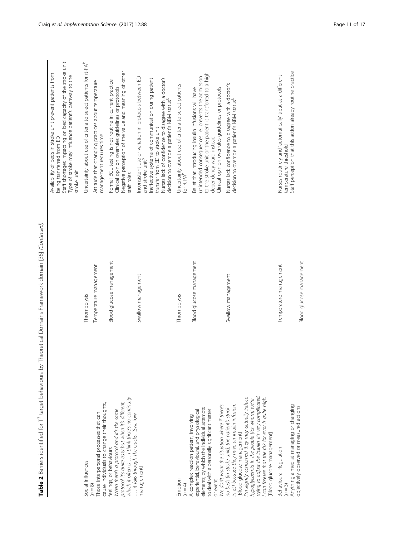Table 2 Barriers identified for T<sup>3</sup> target behaviours by Theoretical Domains Framework domain [36] (Continued) Table 2 Barriers identified for T<sup>3</sup> target behaviours by Theoretical Domains Framework domain [[36](#page-17-0)] (Continued)

|                                                                                                                                                                                                                                                                                                                                                                             |                          | Staff shortages impacting on bed capacity of the stroke unit<br>Availability of beds in stroke unit prevent patients from<br>Type of stroke may influence patient's pathway to the<br>being transferred from ED<br>stroke unit                                                           |
|-----------------------------------------------------------------------------------------------------------------------------------------------------------------------------------------------------------------------------------------------------------------------------------------------------------------------------------------------------------------------------|--------------------------|------------------------------------------------------------------------------------------------------------------------------------------------------------------------------------------------------------------------------------------------------------------------------------------|
| Social Influences                                                                                                                                                                                                                                                                                                                                                           | Thrombolysis             | Uncertainty about use of criteria to select patients for rt-PA <sup>b</sup>                                                                                                                                                                                                              |
| cause individuals to change their thoughts,<br>Those interpersonal processes that can                                                                                                                                                                                                                                                                                       | Temperature management   | Attitude that changing practices about temperature<br>management requires time                                                                                                                                                                                                           |
| which it often is  I think there's no continuity<br>protocol it's quite easy but when it's different,<br>When there's a protocol and it's the same<br>feelings, or behaviours                                                                                                                                                                                               | Blood glucose management | Negative perception of the value and meaning of other<br>Formal BGL testing is not routine in current practice<br>Clinical opinion overrules guidelines or protocols<br>staff roles                                                                                                      |
| it falls through the cracks. [Swallow<br>management]                                                                                                                                                                                                                                                                                                                        | Swallow management       | Inconsistent use or variation in protocols between ED<br>and stroke unit <sup>b</sup><br>Nurses lack of confidence to disagree with a doctor's<br>Ineffective systems of communication during patient<br>decision to override a patient's NBM statusb<br>transfer from ED to stroke unit |
| Emotion<br>$(n = 4)$                                                                                                                                                                                                                                                                                                                                                        | Thrombolysis             | Uncertainty about use of criteria to select patients<br>for rt-PA <sup>b</sup>                                                                                                                                                                                                           |
| We don't want the situation where if there's<br>elements, by which the individual attempts<br>to deal with a personally significant matter<br>experiential, behavioural, and physiological<br>A complex reaction pattern, involving<br>or event                                                                                                                             | Blood glucose management | to the stroke unit or the patient is transferred to a high<br>unintended consequences i.e. prevents the admission<br>Clinical opinion overrules guidelines or protocols<br>Belief that introducing insulin infusions will have<br>dependency ward instead                                |
| trying to adjust the insulin. It's very complicated.<br>I can foresee that the risk for error is quite high.<br>I'm slightly concerned they may actually induce<br>hypoglycaemia in the people [for whom] we're<br>in ED because they have an insulin infusion.<br>no beds [in stroke unit], the patient's stuck<br>[Blood glucose management]<br>Blood glucose management] | Swallow management       | Nurses lack confidence to disagree with a doctor's<br>decision to override a patient's NBM status <sup>b</sup>                                                                                                                                                                           |
| Anything aimed at managing or changing<br>Behavioural Regulation<br>$(n=3)$                                                                                                                                                                                                                                                                                                 | Temperature management   | Staff perception that this action already routine practice<br>Nurses routinely and 'automatically' treat at a different<br>temperature threshold                                                                                                                                         |
| objectively observed or measured actions                                                                                                                                                                                                                                                                                                                                    | Blood glucose management |                                                                                                                                                                                                                                                                                          |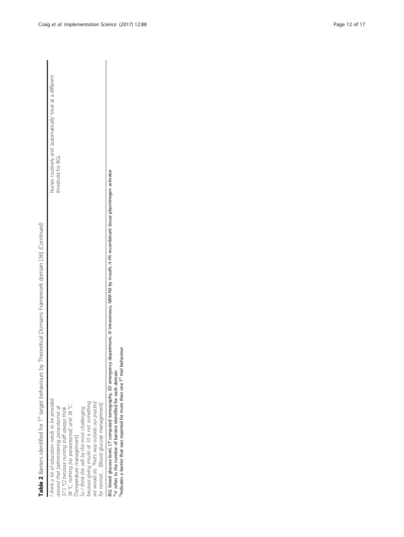| think a lot of education needs to be provided                                                                             |                 |                                                                                                       | Nurses routinely and 'automatically' treat at a different |
|---------------------------------------------------------------------------------------------------------------------------|-----------------|-------------------------------------------------------------------------------------------------------|-----------------------------------------------------------|
| around that [administering paracetamol at                                                                                 |                 |                                                                                                       | threshold for BGL                                         |
| 37.5 °C] because nursing staff always think                                                                               |                 |                                                                                                       |                                                           |
| 8 °C, nothing [no paracetamol] until 38 °C.                                                                               |                 |                                                                                                       |                                                           |
| lemperature management                                                                                                    |                 |                                                                                                       |                                                           |
| o I think this will be the most challenging                                                                               |                 |                                                                                                       |                                                           |
| pecause giving insulin at 10 is not something                                                                             |                 |                                                                                                       |                                                           |
| we would do. That's way outside our practice                                                                              |                 |                                                                                                       |                                                           |
| for normal [Blood glucose management]                                                                                     |                 |                                                                                                       |                                                           |
| an' refers to the number of barriers identified for each domain<br>BGL blood glucose level, CT computed tomography, ED em |                 | nergency department, /V intravenous, NBM Nil by mouth, rt-PA recombinant tissue plasminogen activator |                                                           |
| <sup>p</sup> Indicates a barrier that was reported for more than one T <sup>2</sup>                                       | trial behaviour |                                                                                                       |                                                           |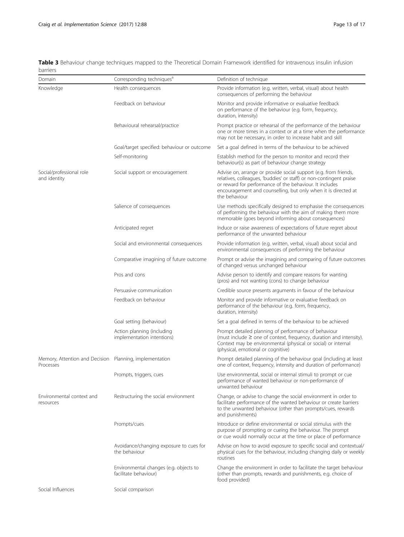<span id="page-15-0"></span>

| Table 3 Behaviour change techniques mapped to the Theoretical Domain Framework identified for intravenous insulin infusion |  |  |  |  |  |  |
|----------------------------------------------------------------------------------------------------------------------------|--|--|--|--|--|--|
| barriers                                                                                                                   |  |  |  |  |  |  |

| Domain                                                               | Corresponding techniques <sup>a</sup>                           | Definition of technique                                                                                                                                                                                                                                                               |  |  |
|----------------------------------------------------------------------|-----------------------------------------------------------------|---------------------------------------------------------------------------------------------------------------------------------------------------------------------------------------------------------------------------------------------------------------------------------------|--|--|
| Knowledge                                                            | Health consequences                                             | Provide information (e.g. written, verbal, visual) about health<br>consequences of performing the behaviour                                                                                                                                                                           |  |  |
|                                                                      | Feedback on behaviour                                           | Monitor and provide informative or evaluative feedback<br>on performance of the behaviour (e.g. form, frequency,<br>duration, intensity)                                                                                                                                              |  |  |
|                                                                      | Behavioural rehearsal/practice                                  | Prompt practice or rehearsal of the performance of the behaviour<br>one or more times in a context or at a time when the performance<br>may not be necessary, in order to increase habit and skill                                                                                    |  |  |
|                                                                      | Goal/target specified: behaviour or outcome                     | Set a goal defined in terms of the behaviour to be achieved                                                                                                                                                                                                                           |  |  |
|                                                                      | Self-monitoring                                                 | Establish method for the person to monitor and record their<br>behaviour(s) as part of behaviour change strategy                                                                                                                                                                      |  |  |
| Social/professional role<br>and identity                             | Social support or encouragement                                 | Advise on, arrange or provide social support (e.g. from friends,<br>relatives, colleagues, 'buddies' or staff) or non-contingent praise<br>or reward for performance of the behaviour. It includes<br>encouragement and counselling, but only when it is directed at<br>the behaviour |  |  |
|                                                                      | Salience of consequences                                        | Use methods specifically designed to emphasise the consequences<br>of performing the behaviour with the aim of making them more<br>memorable (goes beyond informing about consequences)                                                                                               |  |  |
|                                                                      | Anticipated regret                                              | Induce or raise awareness of expectations of future regret about<br>performance of the unwanted behaviour                                                                                                                                                                             |  |  |
|                                                                      | Social and environmental consequences                           | Provide information (e.g. written, verbal, visual) about social and<br>environmental consequences of performing the behaviour                                                                                                                                                         |  |  |
|                                                                      | Comparative imagining of future outcome                         | Prompt or advise the imagining and comparing of future outcomes<br>of changed versus unchanged behaviour                                                                                                                                                                              |  |  |
|                                                                      | Pros and cons                                                   | Advise person to identify and compare reasons for wanting<br>(pros) and not wanting (cons) to change behaviour                                                                                                                                                                        |  |  |
|                                                                      | Persuasive communication                                        | Credible source presents arguments in favour of the behaviour                                                                                                                                                                                                                         |  |  |
|                                                                      | Feedback on behaviour                                           | Monitor and provide informative or evaluative feedback on<br>performance of the behaviour (e.g. form, frequency,<br>duration, intensity)                                                                                                                                              |  |  |
|                                                                      | Goal setting (behaviour)                                        | Set a goal defined in terms of the behaviour to be achieved                                                                                                                                                                                                                           |  |  |
|                                                                      | Action planning (including<br>implementation intentions)        | Prompt detailed planning of performance of behaviour<br>(must include $\geq$ one of context, frequency, duration and intensity).<br>Context may be environmental (physical or social) or internal<br>(physical, emotional or cognitive)                                               |  |  |
| Memory, Attention and Decision Planning, implementation<br>Processes |                                                                 | Prompt detailed planning of the behaviour goal (including at least<br>one of context, frequency, intensity and duration of performance)                                                                                                                                               |  |  |
|                                                                      | Prompts, triggers, cues                                         | Use environmental, social or internal stimuli to prompt or cue<br>performance of wanted behaviour or non-performance of<br>unwanted behaviour                                                                                                                                         |  |  |
| Environmental context and<br>resources                               | Restructuring the social environment                            | Change, or advise to change the social environment in order to<br>facilitate performance of the wanted behaviour or create barriers<br>to the unwanted behaviour (other than prompts/cues, rewards<br>and punishments)                                                                |  |  |
|                                                                      | Prompts/cues                                                    | Introduce or define environmental or social stimulus with the<br>purpose of prompting or cueing the behaviour. The prompt<br>or cue would normally occur at the time or place of performance                                                                                          |  |  |
|                                                                      | Avoidance/changing exposure to cues for<br>the behaviour        | Advise on how to avoid exposure to specific social and contextual/<br>physical cues for the behaviour, including changing daily or weekly<br>routines                                                                                                                                 |  |  |
|                                                                      | Environmental changes (e.g. objects to<br>facilitate behaviour) | Change the environment in order to facilitate the target behaviour<br>(other than prompts, rewards and punishments, e.g. choice of<br>food provided)                                                                                                                                  |  |  |
| Social Influences                                                    | Social comparison                                               |                                                                                                                                                                                                                                                                                       |  |  |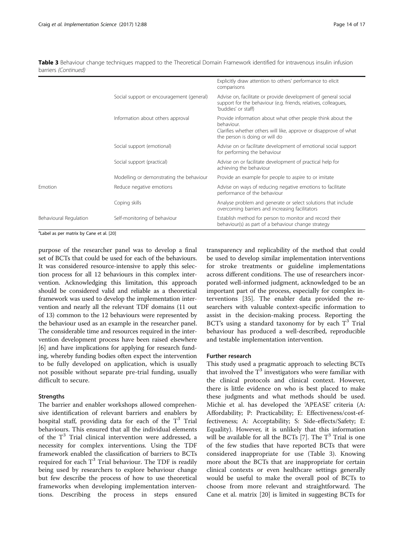|                        |                                           | Explicitly draw attention to others' performance to elicit<br>comparisons                                                                                                        |
|------------------------|-------------------------------------------|----------------------------------------------------------------------------------------------------------------------------------------------------------------------------------|
|                        | Social support or encouragement (general) | Advise on, facilitate or provide development of general social<br>support for the behaviour (e.g. friends, relatives, colleagues,<br>'buddies' or staff)                         |
|                        | Information about others approval         | Provide information about what other people think about the<br>behaviour.<br>Clarifies whether others will like, approve or disapprove of what<br>the person is doing or will do |
|                        | Social support (emotional)                | Advise on or facilitate development of emotional social support<br>for performing the behaviour                                                                                  |
|                        | Social support (practical)                | Advise on or facilitate development of practical help for<br>achieving the behaviour                                                                                             |
|                        | Modelling or demonstrating the behaviour  | Provide an example for people to aspire to or imitate                                                                                                                            |
| Emotion                | Reduce negative emotions                  | Advise on ways of reducing negative emotions to facilitate<br>performance of the behaviour                                                                                       |
|                        | Coping skills                             | Analyse problem and generate or select solutions that include<br>overcoming barriers and increasing facilitators                                                                 |
| Behavioural Regulation | Self-monitoring of behaviour              | Establish method for person to monitor and record their<br>behaviour(s) as part of a behaviour change strategy                                                                   |

Table 3 Behaviour change techniques mapped to the Theoretical Domain Framework identified for intravenous insulin infusion barriers (Continued)

<sup>a</sup>Label as per matrix by Cane et al. [\[20](#page-19-0)]

purpose of the researcher panel was to develop a final set of BCTs that could be used for each of the behaviours. It was considered resource-intensive to apply this selection process for all 12 behaviours in this complex intervention. Acknowledging this limitation, this approach should be considered valid and reliable as a theoretical framework was used to develop the implementation intervention and nearly all the relevant TDF domains (11 out of 13) common to the 12 behaviours were represented by the behaviour used as an example in the researcher panel. The considerable time and resources required in the intervention development process have been raised elsewhere [[6\]](#page-18-0) and have implications for applying for research funding, whereby funding bodies often expect the intervention to be fully developed on application, which is usually not possible without separate pre-trial funding, usually difficult to secure.

# **Strengths**

The barrier and enabler workshops allowed comprehensive identification of relevant barriers and enablers by hospital staff, providing data for each of the  $T^3$  Trial behaviours. This ensured that all the individual elements of the  $T^3$  Trial clinical intervention were addressed, a necessity for complex interventions. Using the TDF framework enabled the classification of barriers to BCTs required for each  $T^3$  Trial behaviour. The TDF is readily being used by researchers to explore behaviour change but few describe the process of how to use theoretical frameworks when developing implementation interventions. Describing the process in steps ensured

transparency and replicability of the method that could be used to develop similar implementation interventions for stroke treatments or guideline implementations across different conditions. The use of researchers incorporated well-informed judgment, acknowledged to be an important part of the process, especially for complex interventions [\[35](#page-19-0)]. The enabler data provided the researchers with valuable context-specific information to assist in the decision-making process. Reporting the BCT's using a standard taxonomy for by each  $T^3$  Trial behaviour has produced a well-described, reproducible and testable implementation intervention.

# Further research

This study used a pragmatic approach to selecting BCTs that involved the  $T^3$  investigators who were familiar with the clinical protocols and clinical context. However, there is little evidence on who is best placed to make these judgments and what methods should be used. Michie et al. has developed the 'APEASE' criteria (A: Affordability; P: Practicability; E: Effectiveness/cost-effectiveness; A: Acceptability; S: Side-effects/Safety; E: Equality). However, it is unlikely that this information will be available for all the BCTs  $[7]$  $[7]$ . The  $T<sup>3</sup>$  Trial is one of the few studies that have reported BCTs that were considered inappropriate for use (Table [3](#page-15-0)). Knowing more about the BCTs that are inappropriate for certain clinical contexts or even healthcare settings generally would be useful to make the overall pool of BCTs to choose from more relevant and straightforward. The Cane et al. matrix [[20\]](#page-19-0) is limited in suggesting BCTs for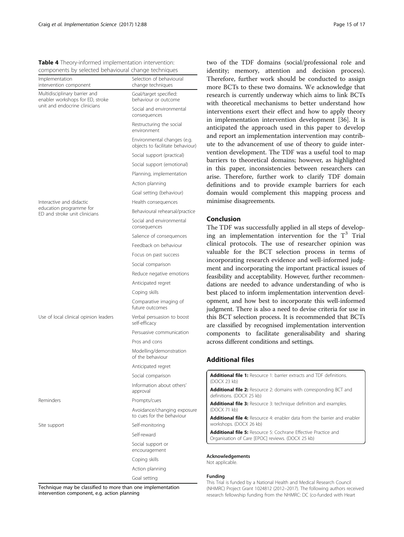<span id="page-17-0"></span>Table 4 Theory-informed implementation intervention: components by selected behavioural change techniques

| Implementation<br>intervention component                                                           | Selection of behavioural<br>change techniques                   |
|----------------------------------------------------------------------------------------------------|-----------------------------------------------------------------|
| Multidisciplinary barrier and<br>enabler workshops for ED, stroke<br>unit and endocrine clinicians | Goal/target specified:<br>behaviour or outcome                  |
|                                                                                                    | Social and environmental<br>consequences                        |
|                                                                                                    | Restructuring the social<br>environment                         |
|                                                                                                    | Environmental changes (e.g.<br>objects to facilitate behaviour) |
|                                                                                                    | Social support (practical)                                      |
|                                                                                                    | Social support (emotional)                                      |
|                                                                                                    | Planning, implementation                                        |
|                                                                                                    | Action planning                                                 |
|                                                                                                    | Goal setting (behaviour)                                        |
| Interactive and didactic<br>education programme for<br>ED and stroke unit clinicians               | Health consequences                                             |
|                                                                                                    | Behavioural rehearsal/practice                                  |
|                                                                                                    | Social and environmental<br>consequences                        |
|                                                                                                    | Salience of consequences                                        |
|                                                                                                    | Feedback on behaviour                                           |
|                                                                                                    | Focus on past success                                           |
|                                                                                                    | Social comparison                                               |
|                                                                                                    | Reduce negative emotions                                        |
|                                                                                                    | Anticipated regret                                              |
|                                                                                                    | Coping skills                                                   |
|                                                                                                    | Comparative imaging of<br>future outcomes                       |
| Use of local clinical opinion leaders                                                              | Verbal persuasion to boost<br>self-efficacy                     |
|                                                                                                    | Persuasive communication                                        |
|                                                                                                    | Pros and cons                                                   |
|                                                                                                    | Modelling/demonstration<br>of the behaviour                     |
|                                                                                                    | Anticipated regret                                              |
|                                                                                                    | Social comparison                                               |
|                                                                                                    | Information about others'<br>approval                           |
| Reminders                                                                                          | Prompts/cues                                                    |
|                                                                                                    | Avoidance/changing exposure<br>to cues for the behaviour        |
| Site support                                                                                       | Self-monitoring                                                 |
|                                                                                                    | Self-reward                                                     |
|                                                                                                    | Social support or<br>encouragement                              |
|                                                                                                    | Coping skills                                                   |
|                                                                                                    | Action planning                                                 |
|                                                                                                    | Goal setting                                                    |

Technique may be classified to more than one implementation intervention component, e.g. action planning

two of the TDF domains (social/professional role and identity; memory, attention and decision process). Therefore, further work should be conducted to assign more BCTs to these two domains. We acknowledge that research is currently underway which aims to link BCTs with theoretical mechanisms to better understand how interventions exert their effect and how to apply theory in implementation intervention development [[36](#page-19-0)]. It is anticipated the approach used in this paper to develop and report an implementation intervention may contribute to the advancement of use of theory to guide intervention development. The TDF was a useful tool to map barriers to theoretical domains; however, as highlighted in this paper, inconsistencies between researchers can arise. Therefore, further work to clarify TDF domain definitions and to provide example barriers for each domain would complement this mapping process and minimise disagreements.

# Conclusion

The TDF was successfully applied in all steps of developing an implementation intervention for the  $T^3$  Trial clinical protocols. The use of researcher opinion was valuable for the BCT selection process in terms of incorporating research evidence and well-informed judgment and incorporating the important practical issues of feasibility and acceptability. However, further recommendations are needed to advance understanding of who is best placed to inform implementation intervention development, and how best to incorporate this well-informed judgment. There is also a need to devise criteria for use in this BCT selection process. It is recommended that BCTs are classified by recognised implementation intervention components to facilitate generalisability and sharing across different conditions and settings.

# Additional files

[Additional file 1:](dx.doi.org/10.1186/s13012-017-0616-6) Resource 1: barrier extracts and TDF definitions. (DOCX 23 kb) [Additional file 2:](dx.doi.org/10.1186/s13012-017-0616-6) Resource 2: domains with corresponding BCT and definitions. (DOCX 25 kb) [Additional file 3:](dx.doi.org/10.1186/s13012-017-0616-6) Resource 3: technique definition and examples. (DOCX 71 kb) [Additional file 4:](dx.doi.org/10.1186/s13012-017-0616-6) Resource 4: enabler data from the barrier and enabler workshops. (DOCX 26 kb) [Additional file 5:](dx.doi.org/10.1186/s13012-017-0616-6) Resource 5: Cochrane Effective Practice and Organisation of Care [EPOC] reviews. (DOCX 25 kb)

#### Acknowledgements

Not applicable.

# Funding

This Trial is funded by a National Health and Medical Research Council (NHMRC) Project Grant 1024812 (2012–2017). The following authors received research fellowship funding from the NHMRC: DC (co-funded with Heart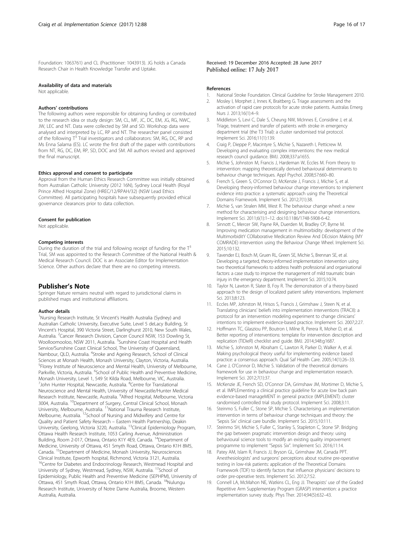<span id="page-18-0"></span>Foundation: 1063761) and CL (Practitioner: 1043913). JG holds a Canada Research Chair in Health Knowledge Transfer and Uptake.

#### Availability of data and materials

Not applicable.

## Authors' contributions

The following authors were responsible for obtaining funding or contributed to the research idea or study design: SM, CL, MF, JC, DC, EM, JG, RG, NWC, JW, LEC and NT. Data were collected by SM and SD. Workshop data were analysed and interpreted by LC, RP and NT. The researcher panel consisted of the following  $T^3$  Trial investigators and collaborators: SM, RG, DC, RP and Ms Enna Salama (ES). LC wrote the first draft of the paper with contributions from NT, RG, DC, EM, RP, SD, DOC and SM. All authors revised and approved the final manuscript.

#### Ethics approval and consent to participate

Approval from the Human Ethics Research Committee was initially obtained from Australian Catholic University (2012 16N), Sydney Local Health (Royal Prince Alfred Hospital Zone) (HREC/12/RPAH/32) (NSW Lead Ethics Committee). All participating hospitals have subsequently provided ethical governance clearances prior to data collection.

#### Consent for publication

Not applicable.

#### Competing interests

During the duration of the trial and following receipt of funding for the  $T^3$ Trial, SM was appointed to the Research Committee of the National Health & Medical Research Council. DOC is an Associate Editor for Implementation Science. Other authors declare that there are no competing interests.

# Publisher's Note

Springer Nature remains neutral with regard to jurisdictional claims in published maps and institutional affiliations.

#### Author details

<sup>1</sup>Nursing Research Institute, St Vincent's Health Australia (Sydney) and Australian Catholic University, Executive Suite, Level 5 deLacy Building, St Vincent's Hospital, 390 Victoria Street, Darlinghurst 2010, New South Wales, Australia. <sup>2</sup> Cancer Research Division, Cancer Council NSW, 153 Dowling St, Woolloomooloo, NSW 2011, Australia. <sup>3</sup>Sunshine Coast Hospital and Health Service/Sunshine Coast Clinical School, The University of Queensland, Nambour, QLD, Australia. <sup>4</sup>Stroke and Ageing Research, School of Clinical Sciences at Monash Health, Monash University, Clayton, Victoria, Australia. 5 Florey Institute of Neuroscience and Mental Health, University of Melbourne, Parkville, Victoria, Australia. <sup>6</sup>School of Public Health and Preventive Medicine, Monash University, Level 1, 549 St Kilda Road, Melbourne, VIC, Australia. <sup>7</sup>John Hunter Hospital, Newcastle, Australia. <sup>8</sup>Centre for Translational Neuroscience and Mental Health, University of Newcastle/Hunter Medical Research Institute, Newcastle, Australia. <sup>9</sup>Alfred Hospital, Melbourne, Victoria 3004, Australia. <sup>10</sup>Department of Surgery, Central Clinical School, Monash University, Melbourne, Australia. <sup>11</sup>National Trauma Research Institute, Melbourne, Australia. 12School of Nursing and Midwifery and Centre for Quality and Patient Safety Research – Eastern Health Partnership, Deakin University, Geelong, Victoria 3220, Australia. <sup>13</sup>Clinical Epidemiology Program, Ottawa Health Research Institute, 1053 Carling Avenue, Administration Building, Room 2-017, Ottawa, Ontario K1Y 4E9, Canada. <sup>14</sup>Department of Medicine, University of Ottawa, 451 Smyth Road, Ottawa, Ontario K1H 8M5, Canada. 15Department of Medicine, Monash University, Neurosciences Clinical Institute, Epworth hospital, Richmond, Victoria 3121, Australia. <sup>16</sup>Centre for Diabetes and Endocrinology Research, Westmead Hospital and University of Sydney, Westmead, Sydney, NSW, Australia. <sup>17</sup>School of Epidemiology, Public Health and Preventive Medicine (SEPHPM), University of Ottawa, 451 Smyth Road, Ottawa, Ontario K1H 8M5, Canada. 18Nulungu Research Institute, University of Notre Dame Australia, Broome, Western Australia, Australia.

Received: 19 December 2016 Accepted: 28 June 2017 Published online: 17 July 2017

#### References

- 1. National Stroke Foundation. Clinical Guideline for Stroke Management 2010. 2. Mosley I, Morphet J, Innes K, Braitberg G. Triage assessments and the
- activation of rapid care protocols for acute stroke patients. Australas Emerg Nurs J. 2013;16(1):4–9.
- 3. Middleton S, Levi C, Dale S, Cheung NW, McInnes E, Considine J, et al. Triage, treatment and transfer of patients with stroke in emergency department trial (the T3 Trial): a cluster randomised trial protocol. Implement Sci. 2016;11(1):139.
- 4. Craig P, Dieppe P, Macintyre S, Michie S, Nazareth I, Petticrew M. Developing and evaluating complex interventions: the new medical research council guidance. BMJ. 2008;337:a1655.
- Michie S, Johnston M, Francis J, Hardeman W, Eccles M. From theory to intervention: mapping theoretically derived behavioural determinants to behaviour change techniques. Appl Psychol. 2008;57:660–80.
- 6. French S, Green S, O'Connor D, McKenzie J, Francis J, Michie S, et al. Developing theory-informed behaviour change interventions to implement evidence into practice: a systematic approach using the Theoretical Domains Framework. Implement Sci. 2012;7(1):38.
- 7. Michie S, van Stralen MM, West R. The behaviour change wheel: a new method for characterising and designing behaviour change interventions. Implement Sci. 2011;6(1):1–12. doi[:10.1186/1748-5908-6-42](http://dx.doi.org/10.1186/1748-5908-6-42).
- 8. Sinnott C, Mercer SW, Payne RA, Duerden M, Bradley CP, Byrne M. Improving medication management in multimorbidity: development of the MultimorbiditY COllaborative Medication Review And DEcision Making (MY COMRADE) intervention using the Behaviour Change Wheel. Implement Sci. 2015;10:132.
- 9. Tavender EJ, Bosch M, Gruen RL, Green SE, Michie S, Brennan SE, et al. Developing a targeted, theory-informed implementation intervention using two theoretical frameworks to address health professional and organisational factors: a case study to improve the management of mild traumatic brain injury in the emergency department. Implement Sci. 2015;10:74.
- 10. Taylor N, Lawton R, Slater B, Foy R. The demonstration of a theory-based approach to the design of localized patient safety interventions. Implement Sci. 2013;8:123.
- 11. Eccles MP, Johnston M, Hrisos S, Francis J, Grimshaw J, Steen N, et al. Translating clinicians' beliefs into implementation interventions (TRACII): a protocol for an intervention modeling experiment to change clinicians' intentions to implement evidence-based practice. Implement Sci. 2007;2:27.
- 12. Hoffmann TC, Glasziou PP, Boutron I, Milne R, Perera R, Moher D, et al. Better reporting of interventions: template for intervention description and replication (TIDieR) checklist and guide. BMJ. 2014;348:g1687.
- 13. Michie S, Johnston M, Abraham C, Lawton R, Parker D, Walker A, et al. Making psychological theory useful for implementing evidence based practice: a consensus approach. Qual Saf Health Care. 2005;14(1):26–33.
- 14. Cane J, O'Connor D, Michie S, Validation of the theoretical domains framework for use in behaviour change and implementation research. Implement Sci. 2012;7(1):37.
- 15. McKenzie JE, French SD, O'Connor DA, Grimshaw JM, Mortimer D, Michie S, et al. IMPLEmenting a clinical practice guideline for acute low back pain evidence-based manageMENT in general practice (IMPLEMENT): cluster randomised controlled trial study protocol. Implement Sci. 2008;3:11.
- 16. Steinmo S, Fuller C, Stone SP, Michie S. Characterising an implementation intervention in terms of behaviour change techniques and theory: the 'Sepsis Six' clinical care bundle. Implement Sci. 2015;10:111.
- 17. Steinmo SH, Michie S, Fuller C, Stanley S, Stapleton C, Stone SP. Bridging the gap between pragmatic intervention design and theory: using behavioural science tools to modify an existing quality improvement programme to implement "Sepsis Six". Implement Sci. 2016;11:14.
- 18. Patey AM, Islam R, Francis JJ, Bryson GL, Grimshaw JM, Canada PPT. Anesthesiologists' and surgeons' perceptions about routine pre-operative testing in low-risk patients: application of the Theoretical Domains Framework (TDF) to identify factors that influence physicians' decisions to order pre-operative tests. Implement Sci. 2012;7:52.
- 19. Connell LA, McMahon NE, Watkins CL, Eng JJ. Therapists' use of the Graded Repetitive Arm Supplementary Program (GRASP) intervention: a practice implementation survey study. Phys Ther. 2014;94(5):632–43.